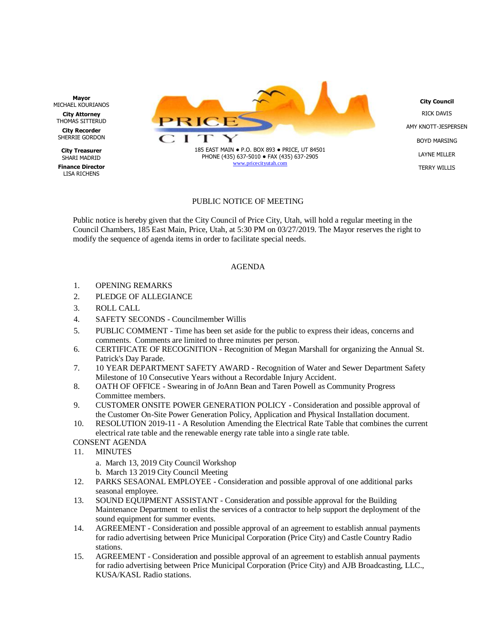

**City Council** RICK DAVIS AMY KNOTT-JESPERSEN BOYD MARSING LAYNE MILLER TERRY WILLIS

## PUBLIC NOTICE OF MEETING

Public notice is hereby given that the City Council of Price City, Utah, will hold a regular meeting in the Council Chambers, 185 East Main, Price, Utah, at 5:30 PM on 03/27/2019. The Mayor reserves the right to modify the sequence of agenda items in order to facilitate special needs.

## AGENDA

- 1. OPENING REMARKS
- 2. PLEDGE OF ALLEGIANCE
- 3. ROLL CALL
- 4. SAFETY SECONDS Councilmember Willis
- 5. PUBLIC COMMENT Time has been set aside for the public to express their ideas, concerns and comments. Comments are limited to three minutes per person.
- 6. CERTIFICATE OF RECOGNITION Recognition of Megan Marshall for organizing the Annual St. Patrick's Day Parade.
- 7. 10 YEAR DEPARTMENT SAFETY AWARD Recognition of Water and Sewer Department Safety Milestone of 10 Consecutive Years without a Recordable Injury Accident.
- 8. OATH OF OFFICE Swearing in of JoAnn Bean and Taren Powell as Community Progress Committee members.
- 9. CUSTOMER ONSITE POWER GENERATION POLICY Consideration and possible approval of the Customer On-Site Power Generation Policy, Application and Physical Installation document.
- 10. RESOLUTION 2019-11 A Resolution Amending the Electrical Rate Table that combines the current electrical rate table and the renewable energy rate table into a single rate table.
- CONSENT AGENDA
- 11. MINUTES
	- a. March 13, 2019 City Council Workshop
	- b. March 13 2019 City Council Meeting
- 12. PARKS SESAONAL EMPLOYEE Consideration and possible approval of one additional parks seasonal employee.
- 13. SOUND EQUIPMENT ASSISTANT Consideration and possible approval for the Building Maintenance Department to enlist the services of a contractor to help support the deployment of the sound equipment for summer events.
- 14. AGREEMENT Consideration and possible approval of an agreement to establish annual payments for radio advertising between Price Municipal Corporation (Price City) and Castle Country Radio stations.
- 15. AGREEMENT Consideration and possible approval of an agreement to establish annual payments for radio advertising between Price Municipal Corporation (Price City) and AJB Broadcasting, LLC., KUSA/KASL Radio stations.

**Mayor** MICHAEL KOURIANOS

**City Attorney** THOMAS SITTERUD **City Recorder**

SHERRIE GORDON

**City Treasurer** SHARI MADRID

**Finance Director** LISA RICHENS